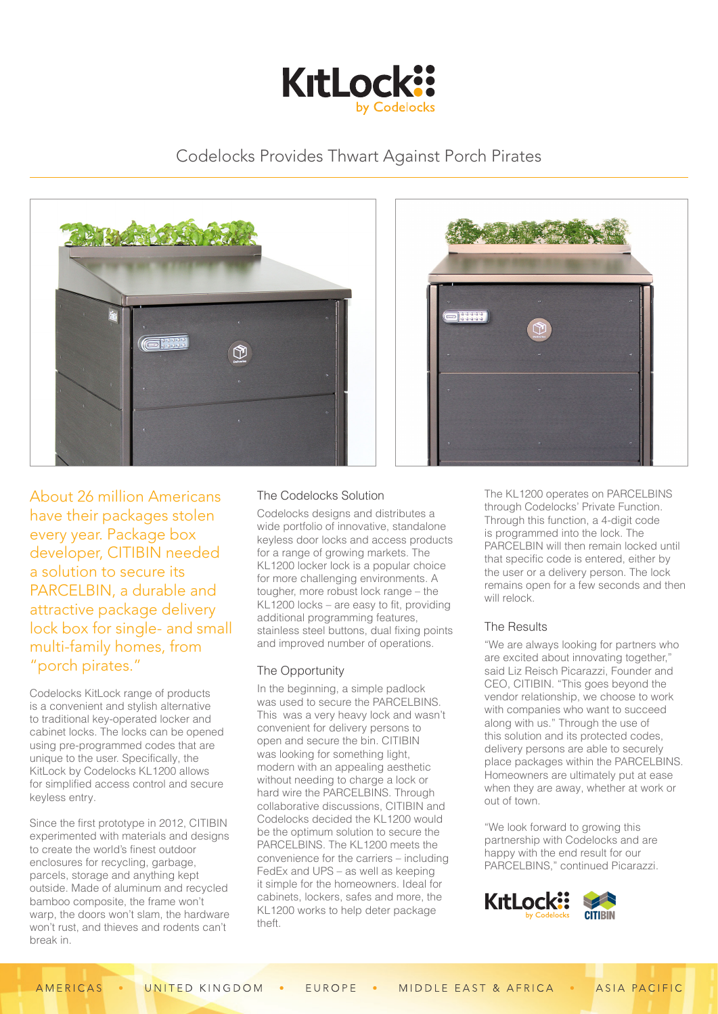

# Codelocks Provides Thwart Against Porch Pirates





About 26 million Americans have their packages stolen every year. Package box developer, CITIBIN needed a solution to secure its PARCELBIN, a durable and attractive package delivery lock box for single- and small multi-family homes, from "porch pirates."

Codelocks KitLock range of products is a convenient and stylish alternative to traditional key-operated locker and cabinet locks. The locks can be opened using pre-programmed codes that are unique to the user. Specifically, the KitLock by Codelocks KL1200 allows for simplified access control and secure keyless entry.

Since the first prototype in 2012, CITIBIN experimented with materials and designs to create the world's finest outdoor enclosures for recycling, garbage, parcels, storage and anything kept outside. Made of aluminum and recycled bamboo composite, the frame won't warp, the doors won't slam, the hardware won't rust, and thieves and rodents can't break in.

# The Codelocks Solution

Codelocks designs and distributes a wide portfolio of innovative, standalone keyless door locks and access products for a range of growing markets. The KL1200 locker lock is a popular choice for more challenging environments. A tougher, more robust lock range – the KL1200 locks – are easy to fit, providing additional programming features, stainless steel buttons, dual fixing points and improved number of operations.

## The Opportunity

In the beginning, a simple padlock was used to secure the PARCELBINS. This was a very heavy lock and wasn't convenient for delivery persons to open and secure the bin. CITIBIN was looking for something light, modern with an appealing aesthetic without needing to charge a lock or hard wire the PARCELBINS. Through collaborative discussions, CITIBIN and Codelocks decided the KL1200 would be the optimum solution to secure the PARCELBINS. The KL1200 meets the convenience for the carriers – including FedEx and UPS – as well as keeping it simple for the homeowners. Ideal for cabinets, lockers, safes and more, the KL1200 works to help deter package theft.

The KL1200 operates on PARCELBINS through Codelocks' Private Function. Through this function, a 4-digit code is programmed into the lock. The PARCELBIN will then remain locked until that specific code is entered, either by the user or a delivery person. The lock remains open for a few seconds and then will relock.

## The Results

"We are always looking for partners who are excited about innovating together," said Liz Reisch Picarazzi, Founder and CEO, CITIBIN. "This goes beyond the vendor relationship, we choose to work with companies who want to succeed along with us." Through the use of this solution and its protected codes, delivery persons are able to securely place packages within the PARCELBINS. Homeowners are ultimately put at ease when they are away, whether at work or out of town.

"We look forward to growing this partnership with Codelocks and are happy with the end result for our PARCELBINS," continued Picarazzi.